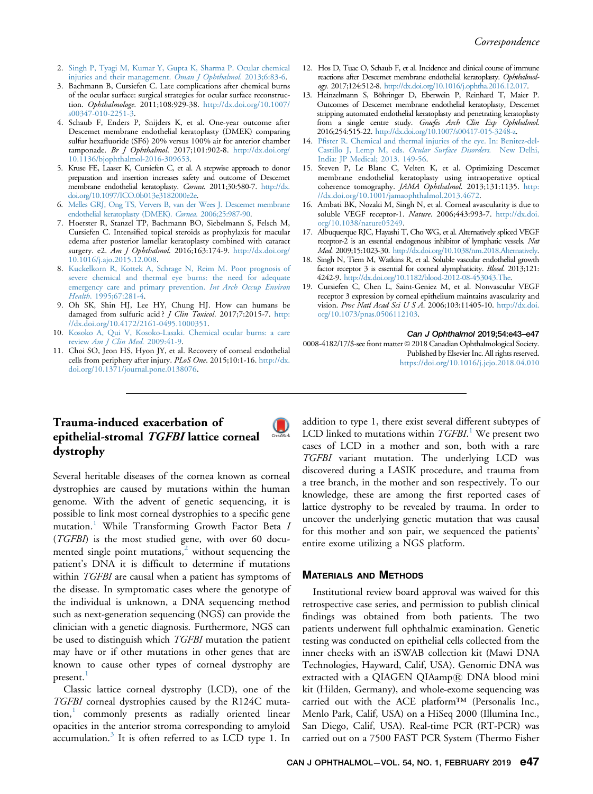- 2. [Singh P, Tyagi M, Kumar Y, Gupta K, Sharma P. Ocular chemical](http://refhub.elsevier.com/S0008-4182(18)30227-8/sbref2) [injuries and their management.](http://refhub.elsevier.com/S0008-4182(18)30227-8/sbref2) Oman J Ophthalmol. 2013;6:83-6.
- 3. Bachmann B, Cursiefen C. Late complications after chemical burns of the ocular surface: surgical strategies for ocular surface reconstruction. Ophthalmologe. 2011;108:929-38. [http://dx.doi.org/10.1007/](https://doi.org/10.1007/s00347-010-2251-3) [s00347-010-2251-3](https://doi.org/10.1007/s00347-010-2251-3).
- 4. Schaub F, Enders P, Snijders K, et al. One-year outcome after Descemet membrane endothelial keratoplasty (DMEK) comparing sulfur hexafluoride (SF6) 20% versus 100% air for anterior chamber tamponade. Br J Ophthalmol. 2017;101:902-8. [http://dx.doi.org/](https://doi.org/10.1136/bjophthalmol-2016-309653) [10.1136/bjophthalmol-2016-309653](https://doi.org/10.1136/bjophthalmol-2016-309653).
- 5. Kruse FE, Laaser K, Cursiefen C, et al. A stepwise approach to donor preparation and insertion increases safety and outcome of Descemet membrane endothelial keratoplasty. Cornea. 2011;30:580-7. [http://dx.](https://doi.org/10.1097/ICO.0b013e3182000e2e) [doi.org/10.1097/ICO.0b013e3182000e2e](https://doi.org/10.1097/ICO.0b013e3182000e2e).
- 6. [Melles GRJ, Ong TS, Ververs B, van der Wees J. Descemet membrane](http://refhub.elsevier.com/S0008-4182(18)30192-3/sbref6) [endothelial keratoplasty \(DMEK\).](http://refhub.elsevier.com/S0008-4182(18)30192-3/sbref6) Cornea. 2006;25:987-90.
- 7. Hoerster R, Stanzel TP, Bachmann BO, Siebelmann S, Felsch M, Cursiefen C. Intensified topical steroids as prophylaxis for macular edema after posterior lamellar keratoplasty combined with cataract surgery. e2. Am J Ophthalmol. 2016;163:174-9. [http://dx.doi.org/](https://doi.org/10.1016/j.ajo.2015.12.008) [10.1016/j.ajo.2015.12.008](https://doi.org/10.1016/j.ajo.2015.12.008).
- 8. [Kuckelkorn R, Kottek A, Schrage N, Reim M. Poor prognosis of](http://refhub.elsevier.com/S0008-4182(18)30192-3/sbref8) [severe chemical and thermal eye burns: the need for adequate](http://refhub.elsevier.com/S0008-4182(18)30192-3/sbref8) [emergency care and primary prevention.](http://refhub.elsevier.com/S0008-4182(18)30192-3/sbref8) Int Arch Occup Environ Health[. 1995;67:281-4.](http://refhub.elsevier.com/S0008-4182(18)30192-3/sbref8)
- 9. Oh SK, Shin HJ, Lee HY, Chung HJ. How can humans be damaged from sulfuric acid? *J Clin Toxicol*. 2017;7:2015-7. [http:](https://doi.org/10.4172/2161-0495.1000351) [//dx.doi.org/10.4172/2161-0495.1000351.](https://doi.org/10.4172/2161-0495.1000351)
- 10. [Kosoko A, Qui V, Kosoko-Lasaki. Chemical ocular burns: a care](http://refhub.elsevier.com/S0008-4182(18)30192-3/sbref10) review [Am J Clin Med.](http://refhub.elsevier.com/S0008-4182(18)30192-3/sbref10) 2009:41-9.
- 11. Choi SO, Jeon HS, Hyon JY, et al. Recovery of corneal endothelial cells from periphery after injury. PLoS One. 2015;10:1-16. [http://dx.](https://doi.org/10.1371/journal.pone.0138076) [doi.org/10.1371/journal.pone.0138076](https://doi.org/10.1371/journal.pone.0138076).
- 12. Hos D, Tuac O, Schaub F, et al. Incidence and clinical course of immune reactions after Descemet membrane endothelial keratoplasty. Ophthalmology. 2017;124:512-8. [http://dx.doi.org/10.1016/j.ophtha.2016.12.017](https://doi.org/10.1016/j.ophtha.2016.12.017).
- 13. Heinzelmann S, Böhringer D, Eberwein P, Reinhard T, Maier P. Outcomes of Descemet membrane endothelial keratoplasty, Descemet stripping automated endothelial keratoplasty and penetrating keratoplasty from a single centre study. Graefes Arch Clin Exp Ophthalmol. 2016;254:515-22. [http://dx.doi.org/10.1007/s00417-015-3248-z.](https://doi.org/10.1007/s00417-015-3248-z)
- 14. Pfi[ster R. Chemical and thermal injuries of the eye. In: Benitez-del-](http://refhub.elsevier.com/S0008-4182(18)30192-3/sbref14)[Castillo J, Lemp M, eds.](http://refhub.elsevier.com/S0008-4182(18)30192-3/sbref14) Ocular Surface Disorders. New Delhi, [India: JP Medical; 2013. 149-56.](http://refhub.elsevier.com/S0008-4182(18)30192-3/sbref14)
- 15. Steven P, Le Blanc C, Velten K, et al. Optimizing Descemet membrane endothelial keratoplasty using intraoperative optical coherence tomography. JAMA Ophthalmol. 2013;131:1135. [http:](https://doi.org/10.1001/jamaophthalmol.2013.4672) [//dx.doi.org/10.1001/jamaophthalmol.2013.4672.](https://doi.org/10.1001/jamaophthalmol.2013.4672)
- 16. Ambati BK, Nozaki M, Singh N, et al. Corneal avascularity is due to soluble VEGF receptor-1. Nature. 2006;443:993-7. [http://dx.doi.](https://doi.org/10.1038/nature05249) [org/10.1038/nature05249](https://doi.org/10.1038/nature05249).
- 17. Albuquerque RJC, Hayashi T, Cho WG, et al. Alternatively spliced VEGF receptor-2 is an essential endogenous inhibitor of lymphatic vessels. Nat Med. 2009;15:1023-30. [http://dx.doi.org/10.1038/nm.2018.Alternatively](https://doi.org/10.1038/nm.2018.Alternatively).
- 18. Singh N, Tiem M, Watkins R, et al. Soluble vascular endothelial growth factor receptor 3 is essential for corneal alymphaticity. Blood. 2013;121: 4242-9. [http://dx.doi.org/10.1182/blood-2012-08-453043.The](https://doi.org/10.1182/blood-2012-08-453043.The).
- 19. Cursiefen C, Chen L, Saint-Geniez M, et al. Nonvascular VEGF receptor 3 expression by corneal epithelium maintains avascularity and vision. Proc Natl Acad Sci U S A. 2006;103:11405-10. [http://dx.doi.](https://doi.org/10.1073/pnas.0506112103) [org/10.1073/pnas.0506112103](https://doi.org/10.1073/pnas.0506112103).

#### Can J Ophthalmol 2019;54:e43–e47

0008-4182/17/\$-see front matter © 2018 Canadian Ophthalmological Society. Published by Elsevier Inc. All rights reserved. <https://doi.org/10.1016/j.jcjo.2018.04.010>

# Trauma-induced exacerbation of epithelial-stromal TGFBI lattice corneal dystrophy

Several heritable diseases of the cornea known as corneal dystrophies are caused by mutations within the human genome. With the advent of genetic sequencing, it is possible to link most corneal dystrophies to a specific gene mutation.<sup>[1](#page-2-0)</sup> While Transforming Growth Factor Beta I (TGFBI) is the most studied gene, with over 60 documented single point mutations, $<sup>2</sup>$  $<sup>2</sup>$  $<sup>2</sup>$  without sequencing the</sup> patient's DNA it is difficult to determine if mutations within TGFBI are causal when a patient has symptoms of the disease. In symptomatic cases where the genotype of the individual is unknown, a DNA sequencing method such as next-generation sequencing (NGS) can provide the clinician with a genetic diagnosis. Furthermore, NGS can be used to distinguish which *TGFBI* mutation the patient may have or if other mutations in other genes that are known to cause other types of corneal dystrophy are present.<sup>[1](#page-2-0)</sup>

Classic lattice corneal dystrophy (LCD), one of the TGFBI corneal dystrophies caused by the R124C muta-tion,<sup>[1](#page-2-0)</sup> commonly presents as radially oriented linear opacities in the anterior stroma corresponding to amyloid accumulation. $3$  It is often referred to as LCD type 1. In

addition to type 1, there exist several different subtypes of LCD linked to mutations within TGFBI.<sup>[1](#page-2-0)</sup> We present two cases of LCD in a mother and son, both with a rare TGFBI variant mutation. The underlying LCD was discovered during a LASIK procedure, and trauma from a tree branch, in the mother and son respectively. To our knowledge, these are among the first reported cases of lattice dystrophy to be revealed by trauma. In order to uncover the underlying genetic mutation that was causal for this mother and son pair, we sequenced the patients' entire exome utilizing a NGS platform.

## MATERIALS AND METHODS

Institutional review board approval was waived for this retrospective case series, and permission to publish clinical findings was obtained from both patients. The two patients underwent full ophthalmic examination. Genetic testing was conducted on epithelial cells collected from the inner cheeks with an iSWAB collection kit (Mawi DNA Technologies, Hayward, Calif, USA). Genomic DNA was extracted with a QIAGEN QIAamp® DNA blood mini kit (Hilden, Germany), and whole-exome sequencing was carried out with the ACE platform™ (Personalis Inc., Menlo Park, Calif, USA) on a HiSeq 2000 (Illumina Inc., San Diego, Calif, USA). Real-time PCR (RT-PCR) was carried out on a 7500 FAST PCR System (Thermo Fisher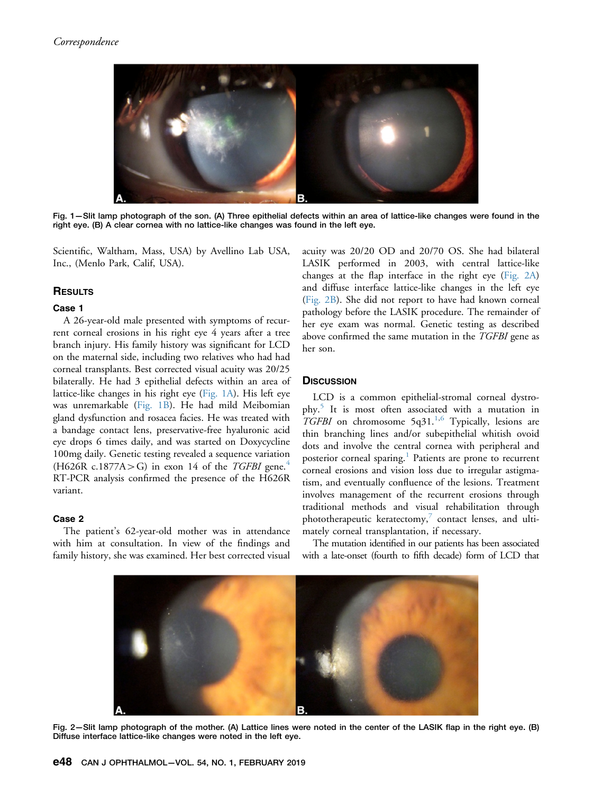

Fig. 1— Slit lamp photograph of the son. (A) Three epithelial defects within an area of lattice-like changes were found in the right eye. (B) A clear cornea with no lattice-like changes was found in the left eye.

Scientific, Waltham, Mass, USA) by Avellino Lab USA, Inc., (Menlo Park, Calif, USA).

## **RESULTS**

### Case 1

A 26-year-old male presented with symptoms of recurrent corneal erosions in his right eye 4 years after a tree branch injury. His family history was significant for LCD on the maternal side, including two relatives who had had corneal transplants. Best corrected visual acuity was 20/25 bilaterally. He had 3 epithelial defects within an area of lattice-like changes in his right eye (Fig. 1A). His left eye was unremarkable (Fig. 1B). He had mild Meibomian gland dysfunction and rosacea facies. He was treated with a bandage contact lens, preservative-free hyaluronic acid eye drops 6 times daily, and was started on Doxycycline 100mg daily. Genetic testing revealed a sequence variation  $(H626R \text{ c.}1877A > G)$  in exon 1[4](#page-2-0) of the TGFBI gene.<sup>4</sup> RT-PCR analysis confirmed the presence of the H626R variant.

### Case 2

The patient's 62-year-old mother was in attendance with him at consultation. In view of the findings and family history, she was examined. Her best corrected visual acuity was 20/20 OD and 20/70 OS. She had bilateral LASIK performed in 2003, with central lattice-like changes at the flap interface in the right eye (Fig. 2A) and diffuse interface lattice-like changes in the left eye (Fig. 2B). She did not report to have had known corneal pathology before the LASIK procedure. The remainder of her eye exam was normal. Genetic testing as described above confirmed the same mutation in the TGFBI gene as her son.

#### **DISCUSSION**

LCD is a common epithelial-stromal corneal dystrophy.[5](#page-2-0) It is most often associated with a mutation in TGFBI on chromosome  $5q31<sup>1,6</sup>$  $5q31<sup>1,6</sup>$  $5q31<sup>1,6</sup>$  Typically, lesions are thin branching lines and/or subepithelial whitish ovoid dots and involve the central cornea with peripheral and posterior corneal sparing.<sup>[1](#page-2-0)</sup> Patients are prone to recurrent corneal erosions and vision loss due to irregular astigmatism, and eventually confluence of the lesions. Treatment involves management of the recurrent erosions through traditional methods and visual rehabilitation through phototherapeutic keratectomy, $7$  contact lenses, and ultimately corneal transplantation, if necessary.

The mutation identified in our patients has been associated with a late-onset (fourth to fifth decade) form of LCD that



Fig. 2—Slit lamp photograph of the mother. (A) Lattice lines were noted in the center of the LASIK flap in the right eye. (B) Diffuse interface lattice-like changes were noted in the left eye.